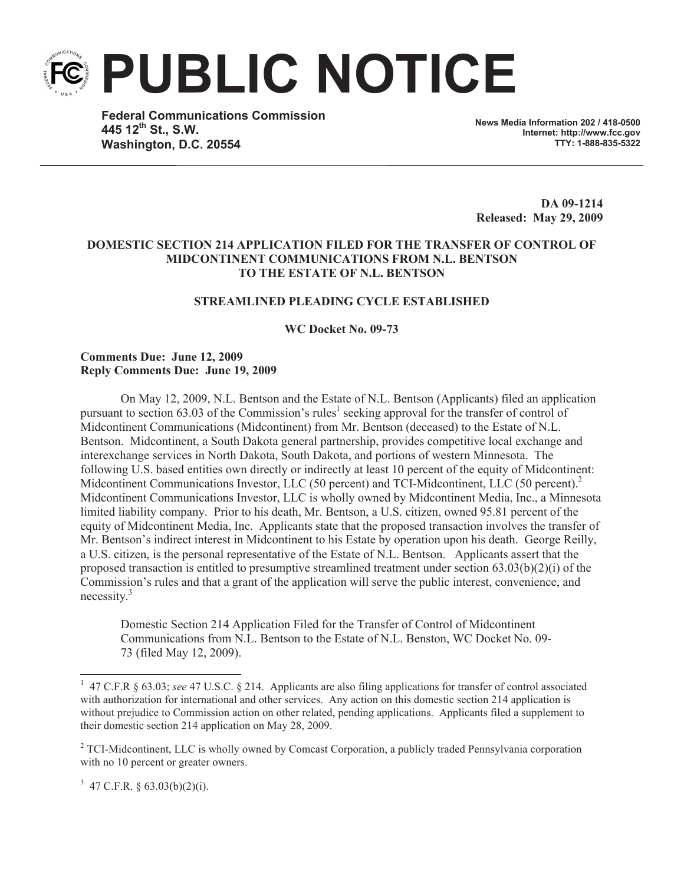**PUBLIC NOTICE**

**Federal Communications Commission 445 12th St., S.W. Washington, D.C. 20554**

**News Media Information 202 / 418-0500 Internet: http://www.fcc.gov TTY: 1-888-835-5322**

**DA 09-1214 Released: May 29, 2009**

# **DOMESTIC SECTION 214 APPLICATION FILED FOR THE TRANSFER OF CONTROL OF MIDCONTINENT COMMUNICATIONS FROM N.L. BENTSON TO THE ESTATE OF N.L. BENTSON**

# **STREAMLINED PLEADING CYCLE ESTABLISHED**

**WC Docket No. 09-73**

# **Comments Due: June 12, 2009 Reply Comments Due: June 19, 2009**

On May 12, 2009, N.L. Bentson and the Estate of N.L. Bentson (Applicants) filed an application pursuant to section 63.03 of the Commission's rules<sup>1</sup> seeking approval for the transfer of control of Midcontinent Communications (Midcontinent) from Mr. Bentson (deceased) to the Estate of N.L. Bentson. Midcontinent, a South Dakota general partnership, provides competitive local exchange and interexchange services in North Dakota, South Dakota, and portions of western Minnesota. The following U.S. based entities own directly or indirectly at least 10 percent of the equity of Midcontinent: Midcontinent Communications Investor, LLC (50 percent) and TCI-Midcontinent, LLC (50 percent).<sup>2</sup> Midcontinent Communications Investor, LLC is wholly owned by Midcontinent Media, Inc., a Minnesota limited liability company. Prior to his death, Mr. Bentson, a U.S. citizen, owned 95.81 percent of the equity of Midcontinent Media, Inc. Applicants state that the proposed transaction involves the transfer of Mr. Bentson's indirect interest in Midcontinent to his Estate by operation upon his death. George Reilly, a U.S. citizen, is the personal representative of the Estate of N.L. Bentson. Applicants assert that the proposed transaction is entitled to presumptive streamlined treatment under section  $(63.03(b)(2)(i)$  of the Commission's rules and that a grant of the application will serve the public interest, convenience, and necessity.<sup>3</sup>

Domestic Section 214 Application Filed for the Transfer of Control of Midcontinent Communications from N.L. Bentson to the Estate of N.L. Benston, WC Docket No. 09- 73 (filed May 12, 2009).

 $3\,$  47 C.F.R. § 63.03(b)(2)(i).

<sup>&</sup>lt;sup>1</sup> 47 C.F.R § 63.03; *see* 47 U.S.C. § 214. Applicants are also filing applications for transfer of control associated with authorization for international and other services. Any action on this domestic section 214 application is without prejudice to Commission action on other related, pending applications. Applicants filed a supplement to their domestic section 214 application on May 28, 2009.

<sup>&</sup>lt;sup>2</sup> TCI-Midcontinent, LLC is wholly owned by Comcast Corporation, a publicly traded Pennsylvania corporation with no 10 percent or greater owners.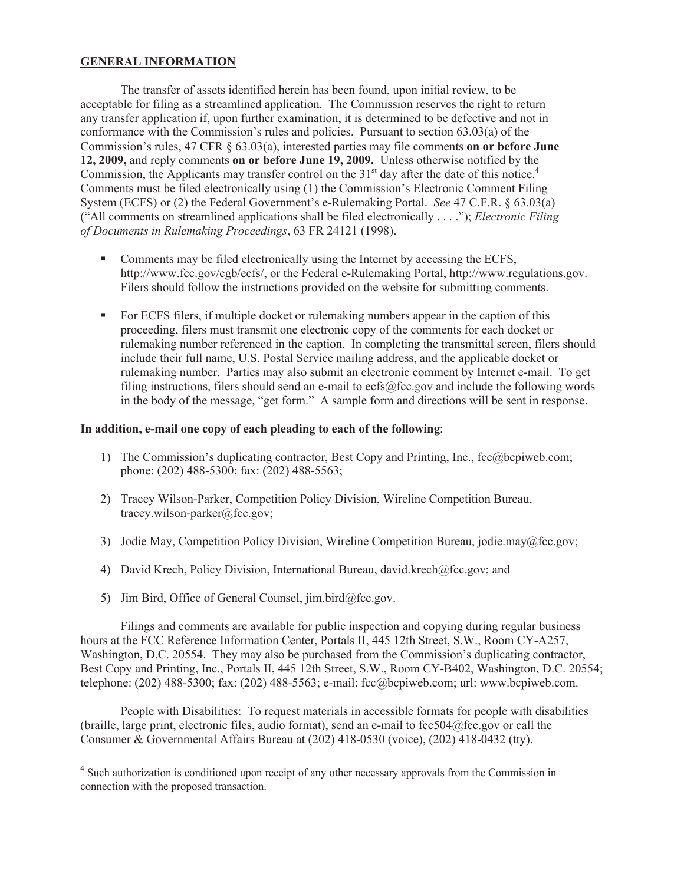# **GENERAL INFORMATION**

The transfer of assets identified herein has been found, upon initial review, to be acceptable for filing as a streamlined application. The Commission reserves the right to return any transfer application if, upon further examination, it is determined to be defective and not in conformance with the Commission's rules and policies. Pursuant to section 63.03(a) of the Commission's rules, 47 CFR § 63.03(a), interested parties may file comments **on or before June 12, 2009,** and reply comments **on or before June 19, 2009.** Unless otherwise notified by the Commission, the Applicants may transfer control on the 31<sup>st</sup> day after the date of this notice.<sup>4</sup> Comments must be filed electronically using (1) the Commission's Electronic Comment Filing System (ECFS) or (2) the Federal Government's e-Rulemaking Portal. *See* 47 C.F.R. § 63.03(a) ("All comments on streamlined applications shall be filed electronically . . . ."); *Electronic Filing of Documents in Rulemaking Proceedings*, 63 FR 24121 (1998).

- Comments may be filed electronically using the Internet by accessing the ECFS, http://www.fcc.gov/cgb/ecfs/, or the Federal e-Rulemaking Portal, http://www.regulations.gov. Filers should follow the instructions provided on the website for submitting comments.
- For ECFS filers, if multiple docket or rulemaking numbers appear in the caption of this proceeding, filers must transmit one electronic copy of the comments for each docket or rulemaking number referenced in the caption. In completing the transmittal screen, filers should include their full name, U.S. Postal Service mailing address, and the applicable docket or rulemaking number. Parties may also submit an electronic comment by Internet e-mail. To get filing instructions, filers should send an e-mail to ecfs@fcc.gov and include the following words in the body of the message, "get form." A sample form and directions will be sent in response.

#### **In addition, e-mail one copy of each pleading to each of the following**:

- 1) The Commission's duplicating contractor, Best Copy and Printing, Inc., fcc@bcpiweb.com; phone: (202) 488-5300; fax: (202) 488-5563;
- 2) Tracey Wilson-Parker, Competition Policy Division, Wireline Competition Bureau, tracey.wilson-parker@fcc.gov;
- 3) Jodie May, Competition Policy Division, Wireline Competition Bureau, jodie.may@fcc.gov;
- 4) David Krech, Policy Division, International Bureau, david.krech@fcc.gov; and
- 5) Jim Bird, Office of General Counsel, jim.bird@fcc.gov.

Filings and comments are available for public inspection and copying during regular business hours at the FCC Reference Information Center, Portals II, 445 12th Street, S.W., Room CY-A257, Washington, D.C. 20554. They may also be purchased from the Commission's duplicating contractor, Best Copy and Printing, Inc., Portals II, 445 12th Street, S.W., Room CY-B402, Washington, D.C. 20554; telephone: (202) 488-5300; fax: (202) 488-5563; e-mail: fcc@bcpiweb.com; url: www.bcpiweb.com.

People with Disabilities: To request materials in accessible formats for people with disabilities (braille, large print, electronic files, audio format), send an e-mail to fcc504@fcc.gov or call the Consumer & Governmental Affairs Bureau at (202) 418-0530 (voice), (202) 418-0432 (tty).

<sup>&</sup>lt;sup>4</sup> Such authorization is conditioned upon receipt of any other necessary approvals from the Commission in connection with the proposed transaction.